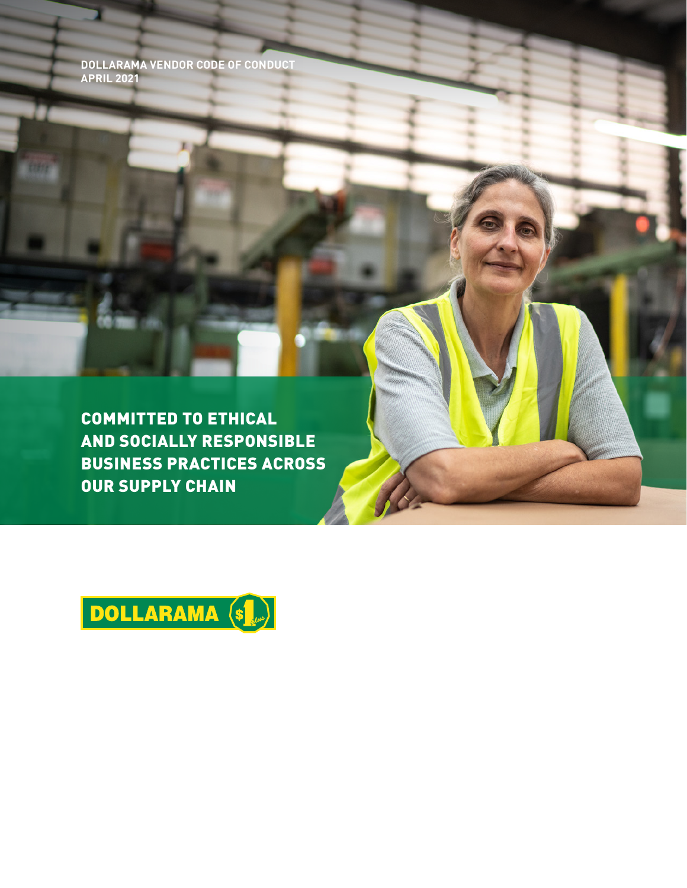**DOLLARAMA VENDOR CODE OF CONDUCT APRIL 2021** 

COMMITTED TO ETHICAL AND SOCIALLY RESPONSIBLE BUSINESS PRACTICES ACROSS OUR SUPPLY CHAIN

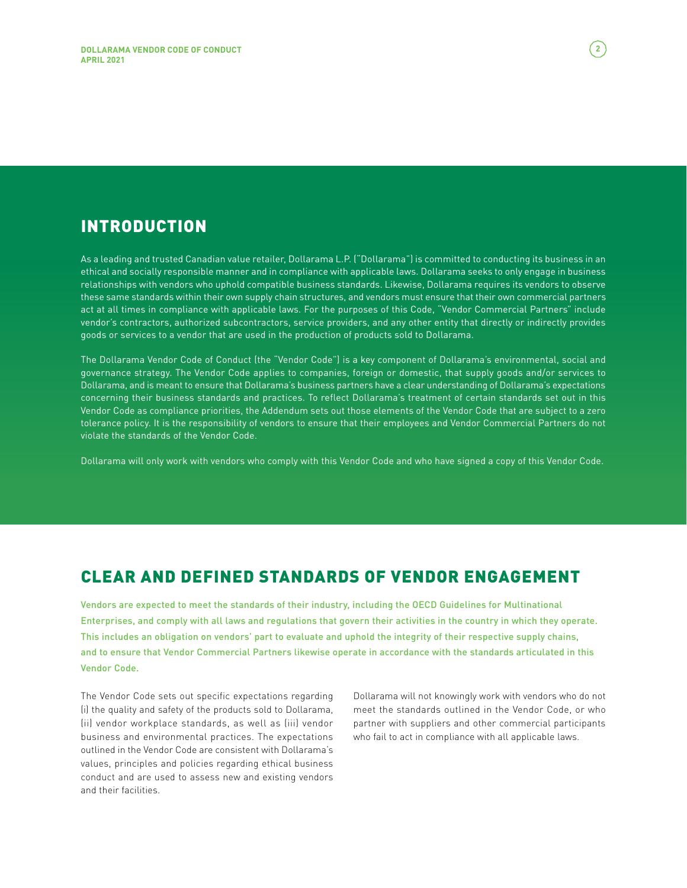# INTRODUCTION

As a leading and trusted Canadian value retailer, Dollarama L.P. ("Dollarama") is committed to conducting its business in an ethical and socially responsible manner and in compliance with applicable laws. Dollarama seeks to only engage in business relationships with vendors who uphold compatible business standards. Likewise, Dollarama requires its vendors to observe these same standards within their own supply chain structures, and vendors must ensure that their own commercial partners act at all times in compliance with applicable laws. For the purposes of this Code, "Vendor Commercial Partners" include vendor's contractors, authorized subcontractors, service providers, and any other entity that directly or indirectly provides goods or services to a vendor that are used in the production of products sold to Dollarama.

The Dollarama Vendor Code of Conduct (the "Vendor Code") is a key component of Dollarama's environmental, social and governance strategy. The Vendor Code applies to companies, foreign or domestic, that supply goods and/or services to Dollarama, and is meant to ensure that Dollarama's business partners have a clear understanding of Dollarama's expectations concerning their business standards and practices. To reflect Dollarama's treatment of certain standards set out in this Vendor Code as compliance priorities, the Addendum sets out those elements of the Vendor Code that are subject to a zero tolerance policy. It is the responsibility of vendors to ensure that their employees and Vendor Commercial Partners do not violate the standards of the Vendor Code.

Dollarama will only work with vendors who comply with this Vendor Code and who have signed a copy of this Vendor Code.

## CLEAR AND DEFINED STANDARDS OF VENDOR ENGAGEMENT

Vendors are expected to meet the standards of their industry, including the OECD Guidelines for Multinational Enterprises, and comply with all laws and regulations that govern their activities in the country in which they operate. This includes an obligation on vendors' part to evaluate and uphold the integrity of their respective supply chains, and to ensure that Vendor Commercial Partners likewise operate in accordance with the standards articulated in this Vendor Code.

The Vendor Code sets out specific expectations regarding (i) the quality and safety of the products sold to Dollarama, (ii) vendor workplace standards, as well as (iii) vendor business and environmental practices. The expectations outlined in the Vendor Code are consistent with Dollarama's values, principles and policies regarding ethical business conduct and are used to assess new and existing vendors and their facilities.

Dollarama will not knowingly work with vendors who do not meet the standards outlined in the Vendor Code, or who partner with suppliers and other commercial participants who fail to act in compliance with all applicable laws.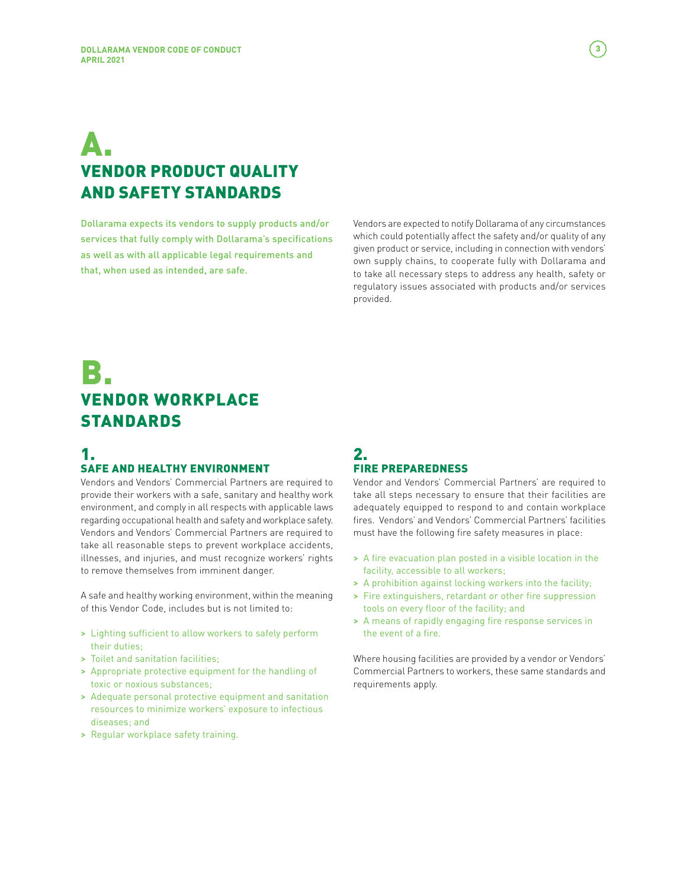# A. VENDOR PRODUCT QUALITY AND SAFETY STANDARDS

Dollarama expects its vendors to supply products and/or services that fully comply with Dollarama's specifications as well as with all applicable legal requirements and that, when used as intended, are safe.

Vendors are expected to notify Dollarama of any circumstances which could potentially affect the safety and/or quality of any given product or service, including in connection with vendors' own supply chains, to cooperate fully with Dollarama and to take all necessary steps to address any health, safety or regulatory issues associated with products and/or services provided.

# B. VENDOR WORKPLACE STANDARDS

#### 1. SAFE AND HEALTHY ENVIRONMENT

Vendors and Vendors' Commercial Partners are required to provide their workers with a safe, sanitary and healthy work environment, and comply in all respects with applicable laws regarding occupational health and safety and workplace safety. Vendors and Vendors' Commercial Partners are required to take all reasonable steps to prevent workplace accidents, illnesses, and injuries, and must recognize workers' rights to remove themselves from imminent danger.

A safe and healthy working environment, within the meaning of this Vendor Code, includes but is not limited to:

- > Lighting sufficient to allow workers to safely perform their duties;
- > Toilet and sanitation facilities;
- > Appropriate protective equipment for the handling of toxic or noxious substances;
- > Adequate personal protective equipment and sanitation resources to minimize workers' exposure to infectious diseases; and
- > Regular workplace safety training.

#### 2. FIRE PREPAREDNESS

Vendor and Vendors' Commercial Partners' are required to take all steps necessary to ensure that their facilities are adequately equipped to respond to and contain workplace fires. Vendors' and Vendors' Commercial Partners' facilities must have the following fire safety measures in place:

- > A fire evacuation plan posted in a visible location in the facility, accessible to all workers;
- > A prohibition against locking workers into the facility;
- > Fire extinguishers, retardant or other fire suppression tools on every floor of the facility; and
- > A means of rapidly engaging fire response services in the event of a fire.

Where housing facilities are provided by a vendor or Vendors' Commercial Partners to workers, these same standards and requirements apply.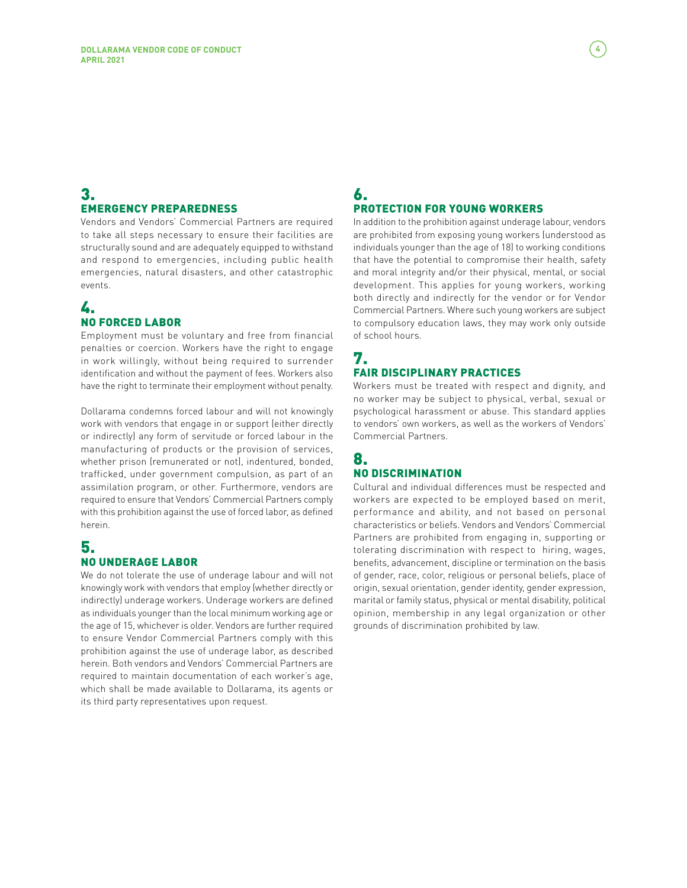#### 3. EMERGENCY PREPAREDNESS

Vendors and Vendors' Commercial Partners are required to take all steps necessary to ensure their facilities are structurally sound and are adequately equipped to withstand and respond to emergencies, including public health emergencies, natural disasters, and other catastrophic events.

### 4. NO FORCED LABOR

Employment must be voluntary and free from financial penalties or coercion. Workers have the right to engage in work willingly, without being required to surrender identification and without the payment of fees. Workers also have the right to terminate their employment without penalty.

Dollarama condemns forced labour and will not knowingly work with vendors that engage in or support (either directly or indirectly) any form of servitude or forced labour in the manufacturing of products or the provision of services, whether prison (remunerated or not), indentured, bonded, trafficked, under government compulsion, as part of an assimilation program, or other. Furthermore, vendors are required to ensure that Vendors' Commercial Partners comply with this prohibition against the use of forced labor, as defined herein.

#### 5. NO UNDERAGE LABOR

We do not tolerate the use of underage labour and will not knowingly work with vendors that employ (whether directly or indirectly) underage workers. Underage workers are defined as individuals younger than the local minimum working age or the age of 15, whichever is older. Vendors are further required to ensure Vendor Commercial Partners comply with this prohibition against the use of underage labor, as described herein. Both vendors and Vendors' Commercial Partners are required to maintain documentation of each worker's age, which shall be made available to Dollarama, its agents or its third party representatives upon request.

#### 6. PROTECTION FOR YOUNG WORKERS

In addition to the prohibition against underage labour, vendors are prohibited from exposing young workers (understood as individuals younger than the age of 18) to working conditions that have the potential to compromise their health, safety and moral integrity and/or their physical, mental, or social development. This applies for young workers, working both directly and indirectly for the vendor or for Vendor Commercial Partners. Where such young workers are subject to compulsory education laws, they may work only outside of school hours.

#### 7. FAIR DISCIPLINARY PRACTICES

Workers must be treated with respect and dignity, and no worker may be subject to physical, verbal, sexual or psychological harassment or abuse. This standard applies to vendors' own workers, as well as the workers of Vendors' Commercial Partners.

#### 8. NO DISCRIMINATION

Cultural and individual differences must be respected and workers are expected to be employed based on merit, performance and ability, and not based on personal characteristics or beliefs. Vendors and Vendors' Commercial Partners are prohibited from engaging in, supporting or tolerating discrimination with respect to hiring, wages, benefits, advancement, discipline or termination on the basis of gender, race, color, religious or personal beliefs, place of origin, sexual orientation, gender identity, gender expression, marital or family status, physical or mental disability, political opinion, membership in any legal organization or other grounds of discrimination prohibited by law.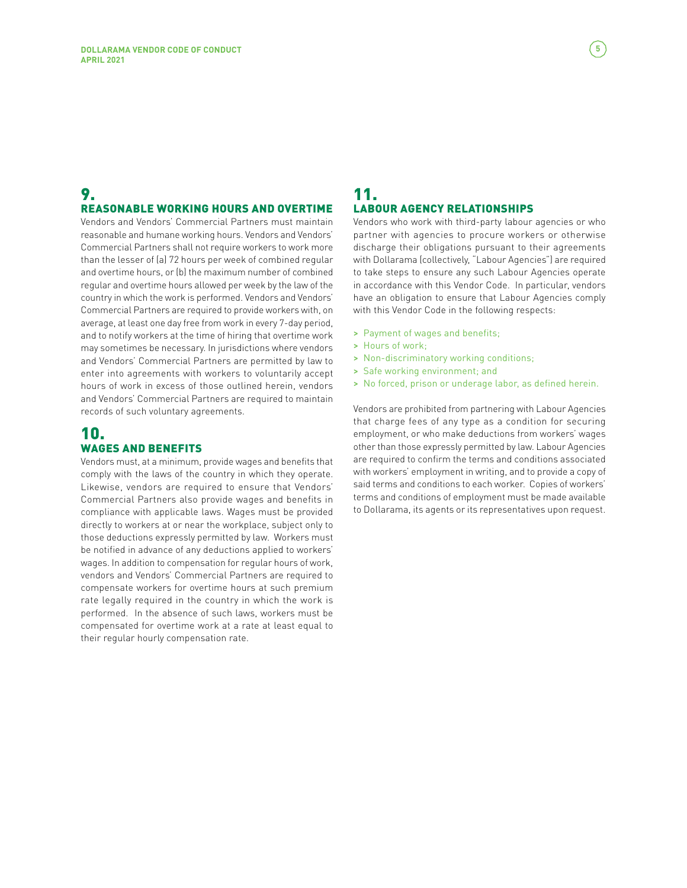#### 9. REASONABLE WORKING HOURS AND OVERTIME

Vendors and Vendors' Commercial Partners must maintain reasonable and humane working hours. Vendors and Vendors' Commercial Partners shall not require workers to work more than the lesser of (a) 72 hours per week of combined regular and overtime hours, or (b) the maximum number of combined regular and overtime hours allowed per week by the law of the country in which the work is performed. Vendors and Vendors' Commercial Partners are required to provide workers with, on average, at least one day free from work in every 7-day period, and to notify workers at the time of hiring that overtime work may sometimes be necessary. In jurisdictions where vendors and Vendors' Commercial Partners are permitted by law to enter into agreements with workers to voluntarily accept hours of work in excess of those outlined herein, vendors and Vendors' Commercial Partners are required to maintain records of such voluntary agreements.

#### 10. WAGES AND BENEFITS

Vendors must, at a minimum, provide wages and benefits that comply with the laws of the country in which they operate. Likewise, vendors are required to ensure that Vendors' Commercial Partners also provide wages and benefits in compliance with applicable laws. Wages must be provided directly to workers at or near the workplace, subject only to those deductions expressly permitted by law. Workers must be notified in advance of any deductions applied to workers' wages. In addition to compensation for regular hours of work, vendors and Vendors' Commercial Partners are required to compensate workers for overtime hours at such premium rate legally required in the country in which the work is performed. In the absence of such laws, workers must be compensated for overtime work at a rate at least equal to their regular hourly compensation rate.

#### 11. LABOUR AGENCY RELATIONSHIPS

Vendors who work with third-party labour agencies or who partner with agencies to procure workers or otherwise discharge their obligations pursuant to their agreements with Dollarama (collectively, "Labour Agencies") are required to take steps to ensure any such Labour Agencies operate in accordance with this Vendor Code. In particular, vendors have an obligation to ensure that Labour Agencies comply with this Vendor Code in the following respects:

- > Payment of wages and benefits;
- > Hours of work;
- > Non-discriminatory working conditions;
- > Safe working environment; and
- > No forced, prison or underage labor, as defined herein.

Vendors are prohibited from partnering with Labour Agencies that charge fees of any type as a condition for securing employment, or who make deductions from workers' wages other than those expressly permitted by law. Labour Agencies are required to confirm the terms and conditions associated with workers' employment in writing, and to provide a copy of said terms and conditions to each worker. Copies of workers' terms and conditions of employment must be made available to Dollarama, its agents or its representatives upon request.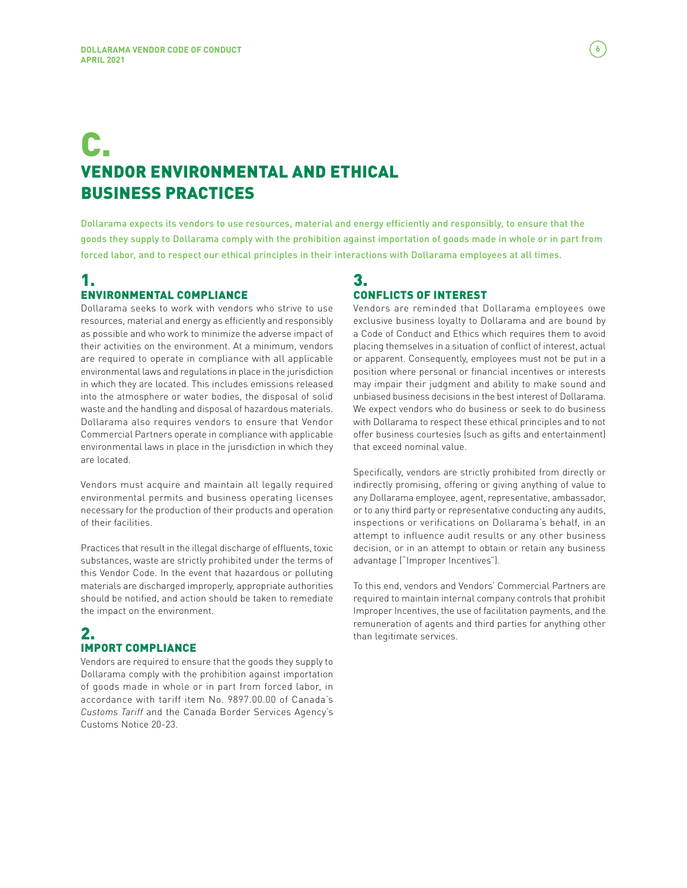# C. VENDOR ENVIRONMENTAL AND ETHICAL BUSINESS PRACTICES

Dollarama expects its vendors to use resources, material and energy efficiently and responsibly, to ensure that the goods they supply to Dollarama comply with the prohibition against importation of goods made in whole or in part from forced labor, and to respect our ethical principles in their interactions with Dollarama employees at all times.

### 1. ENVIRONMENTAL COMPLIANCE

Dollarama seeks to work with vendors who strive to use resources, material and energy as efficiently and responsibly as possible and who work to minimize the adverse impact of their activities on the environment. At a minimum, vendors are required to operate in compliance with all applicable environmental laws and regulations in place in the jurisdiction in which they are located. This includes emissions released into the atmosphere or water bodies, the disposal of solid waste and the handling and disposal of hazardous materials. Dollarama also requires vendors to ensure that Vendor Commercial Partners operate in compliance with applicable environmental laws in place in the jurisdiction in which they are located.

Vendors must acquire and maintain all legally required environmental permits and business operating licenses necessary for the production of their products and operation of their facilities.

Practices that result in the illegal discharge of effluents, toxic substances, waste are strictly prohibited under the terms of this Vendor Code. In the event that hazardous or polluting materials are discharged improperly, appropriate authorities should be notified, and action should be taken to remediate the impact on the environment.

### 2. IMPORT COMPLIANCE

Vendors are required to ensure that the goods they supply to Dollarama comply with the prohibition against importation of goods made in whole or in part from forced labor, in accordance with tariff item No. 9897.00.00 of Canada's *Customs Tariff* and the Canada Border Services Agency's Customs Notice 20-23.

#### 3. CONFLICTS OF INTEREST

Vendors are reminded that Dollarama employees owe exclusive business loyalty to Dollarama and are bound by a Code of Conduct and Ethics which requires them to avoid placing themselves in a situation of conflict of interest, actual or apparent. Consequently, employees must not be put in a position where personal or financial incentives or interests may impair their judgment and ability to make sound and unbiased business decisions in the best interest of Dollarama. We expect vendors who do business or seek to do business with Dollarama to respect these ethical principles and to not offer business courtesies (such as gifts and entertainment) that exceed nominal value.

Specifically, vendors are strictly prohibited from directly or indirectly promising, offering or giving anything of value to any Dollarama employee, agent, representative, ambassador, or to any third party or representative conducting any audits, inspections or verifications on Dollarama's behalf, in an attempt to influence audit results or any other business decision, or in an attempt to obtain or retain any business advantage ("Improper Incentives").

To this end, vendors and Vendors' Commercial Partners are required to maintain internal company controls that prohibit Improper Incentives, the use of facilitation payments, and the remuneration of agents and third parties for anything other than legitimate services.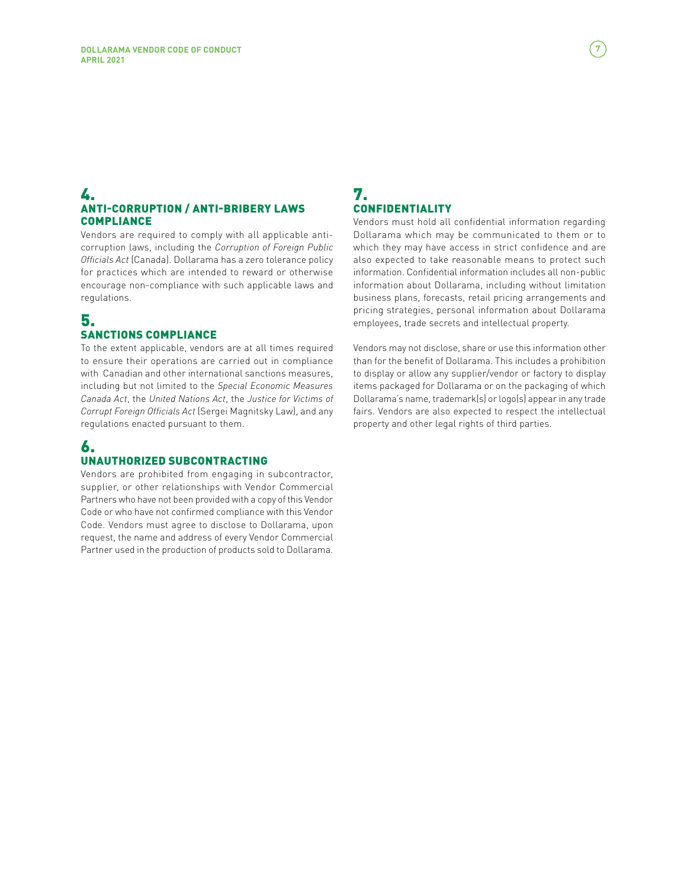#### 4. ANTI-CORRUPTION / ANTI-BRIBERY LAWS **COMPLIANCE**

Vendors are required to comply with all applicable anticorruption laws, including the *Corruption of Foreign Public Officials Act* (Canada). Dollarama has a zero tolerance policy for practices which are intended to reward or otherwise encourage non-compliance with such applicable laws and regulations.

#### 5. SANCTIONS COMPLIANCE

To the extent applicable, vendors are at all times required to ensure their operations are carried out in compliance with Canadian and other international sanctions measures, including but not limited to the *Special Economic Measures Canada Act*, the *United Nations Act*, the *Justice for Victims of Corrupt Foreign Officials Act* (Sergei Magnitsky Law), and any regulations enacted pursuant to them.

#### 6. UNAUTHORIZED SUBCONTRACTING

Vendors are prohibited from engaging in subcontractor, supplier, or other relationships with Vendor Commercial Partners who have not been provided with a copy of this Vendor Code or who have not confirmed compliance with this Vendor Code. Vendors must agree to disclose to Dollarama, upon request, the name and address of every Vendor Commercial Partner used in the production of products sold to Dollarama.

#### 7. CONFIDENTIALITY

Vendors must hold all confidential information regarding Dollarama which may be communicated to them or to which they may have access in strict confidence and are also expected to take reasonable means to protect such information. Confidential information includes all non-public information about Dollarama, including without limitation business plans, forecasts, retail pricing arrangements and pricing strategies, personal information about Dollarama employees, trade secrets and intellectual property.

Vendors may not disclose, share or use this information other than for the benefit of Dollarama. This includes a prohibition to display or allow any supplier/vendor or factory to display items packaged for Dollarama or on the packaging of which Dollarama's name, trademark(s) or logo(s) appear in any trade fairs. Vendors are also expected to respect the intellectual property and other legal rights of third parties.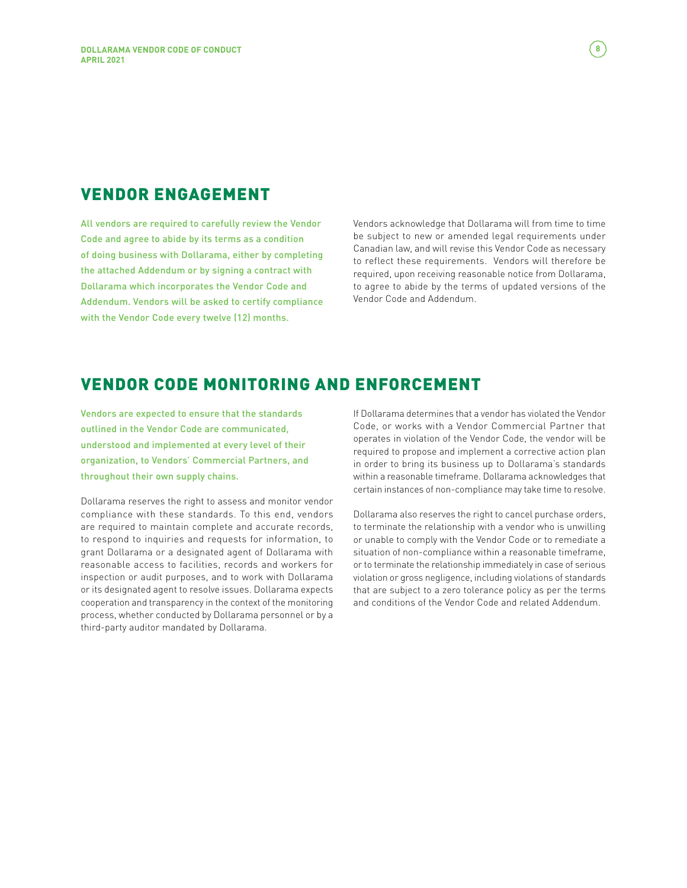## VENDOR ENGAGEMENT

All vendors are required to carefully review the Vendor Code and agree to abide by its terms as a condition of doing business with Dollarama, either by completing the attached Addendum or by signing a contract with Dollarama which incorporates the Vendor Code and Addendum. Vendors will be asked to certify compliance with the Vendor Code every twelve (12) months.

Vendors acknowledge that Dollarama will from time to time be subject to new or amended legal requirements under Canadian law, and will revise this Vendor Code as necessary to reflect these requirements. Vendors will therefore be required, upon receiving reasonable notice from Dollarama, to agree to abide by the terms of updated versions of the Vendor Code and Addendum.

## VENDOR CODE MONITORING AND ENFORCEMENT

Vendors are expected to ensure that the standards outlined in the Vendor Code are communicated, understood and implemented at every level of their organization, to Vendors' Commercial Partners, and throughout their own supply chains.

Dollarama reserves the right to assess and monitor vendor compliance with these standards. To this end, vendors are required to maintain complete and accurate records, to respond to inquiries and requests for information, to grant Dollarama or a designated agent of Dollarama with reasonable access to facilities, records and workers for inspection or audit purposes, and to work with Dollarama or its designated agent to resolve issues. Dollarama expects cooperation and transparency in the context of the monitoring process, whether conducted by Dollarama personnel or by a third-party auditor mandated by Dollarama.

If Dollarama determines that a vendor has violated the Vendor Code, or works with a Vendor Commercial Partner that operates in violation of the Vendor Code, the vendor will be required to propose and implement a corrective action plan in order to bring its business up to Dollarama's standards within a reasonable timeframe. Dollarama acknowledges that certain instances of non-compliance may take time to resolve.

Dollarama also reserves the right to cancel purchase orders, to terminate the relationship with a vendor who is unwilling or unable to comply with the Vendor Code or to remediate a situation of non-compliance within a reasonable timeframe, or to terminate the relationship immediately in case of serious violation or gross negligence, including violations of standards that are subject to a zero tolerance policy as per the terms and conditions of the Vendor Code and related Addendum.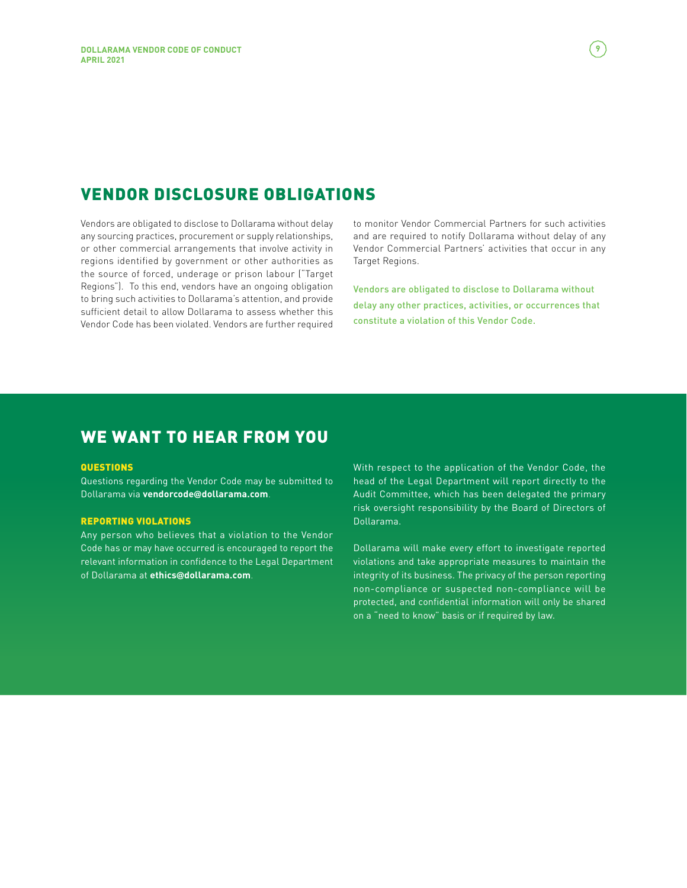# VENDOR DISCLOSURE OBLIGATIONS

Vendors are obligated to disclose to Dollarama without delay any sourcing practices, procurement or supply relationships, or other commercial arrangements that involve activity in regions identified by government or other authorities as the source of forced, underage or prison labour ("Target Regions"). To this end, vendors have an ongoing obligation to bring such activities to Dollarama's attention, and provide sufficient detail to allow Dollarama to assess whether this Vendor Code has been violated. Vendors are further required to monitor Vendor Commercial Partners for such activities and are required to notify Dollarama without delay of any Vendor Commercial Partners' activities that occur in any Target Regions.

Vendors are obligated to disclose to Dollarama without delay any other practices, activities, or occurrences that constitute a violation of this Vendor Code.

# WE WANT TO HEAR FROM YOU

#### **QUESTIONS**

Questions regarding the Vendor Code may be submitted to Dollarama via **vendorcode@dollarama.com**.

#### REPORTING VIOLATIONS

Any person who believes that a violation to the Vendor Code has or may have occurred is encouraged to report the relevant information in confidence to the Legal Department of Dollarama at **ethics@dollarama.com**.

With respect to the application of the Vendor Code, the head of the Legal Department will report directly to the Audit Committee, which has been delegated the primary risk oversight responsibility by the Board of Directors of Dollarama.

Dollarama will make every effort to investigate reported violations and take appropriate measures to maintain the integrity of its business. The privacy of the person reporting non-compliance or suspected non-compliance will be protected, and confidential information will only be shared on a "need to know" basis or if required by law.